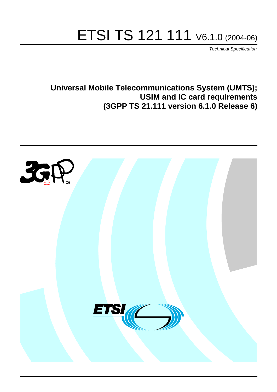# ETSI TS 121 111 V6.1.0 (2004-06)

Technical Specification

**Universal Mobile Telecommunications System (UMTS); USIM and IC card requirements (3GPP TS 21.111 version 6.1.0 Release 6)**

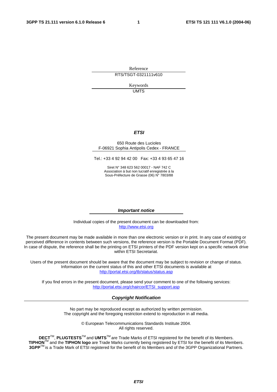Reference RTS/TSGT-0321111v610

> Keywords UMTS

#### **ETSI**

#### 650 Route des Lucioles F-06921 Sophia Antipolis Cedex - FRANCE

Tel.: +33 4 92 94 42 00 Fax: +33 4 93 65 47 16

Siret N° 348 623 562 00017 - NAF 742 C Association à but non lucratif enregistrée à la Sous-Préfecture de Grasse (06) N° 7803/88

#### **Important notice**

Individual copies of the present document can be downloaded from: [http://www.etsi.org](http://www.etsi.org/)

The present document may be made available in more than one electronic version or in print. In any case of existing or perceived difference in contents between such versions, the reference version is the Portable Document Format (PDF). In case of dispute, the reference shall be the printing on ETSI printers of the PDF version kept on a specific network drive within ETSI Secretariat.

Users of the present document should be aware that the document may be subject to revision or change of status. Information on the current status of this and other ETSI documents is available at <http://portal.etsi.org/tb/status/status.asp>

If you find errors in the present document, please send your comment to one of the following services: [http://portal.etsi.org/chaircor/ETSI\\_support.asp](http://portal.etsi.org/chaircor/ETSI_support.asp)

#### **Copyright Notification**

No part may be reproduced except as authorized by written permission. The copyright and the foregoing restriction extend to reproduction in all media.

> © European Telecommunications Standards Institute 2004. All rights reserved.

**DECT**TM, **PLUGTESTS**TM and **UMTS**TM are Trade Marks of ETSI registered for the benefit of its Members. **TIPHON**TM and the **TIPHON logo** are Trade Marks currently being registered by ETSI for the benefit of its Members. **3GPP**TM is a Trade Mark of ETSI registered for the benefit of its Members and of the 3GPP Organizational Partners.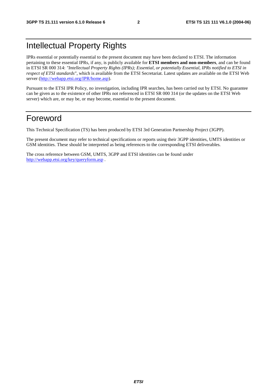## Intellectual Property Rights

IPRs essential or potentially essential to the present document may have been declared to ETSI. The information pertaining to these essential IPRs, if any, is publicly available for **ETSI members and non-members**, and can be found in ETSI SR 000 314: *"Intellectual Property Rights (IPRs); Essential, or potentially Essential, IPRs notified to ETSI in respect of ETSI standards"*, which is available from the ETSI Secretariat. Latest updates are available on the ETSI Web server ([http://webapp.etsi.org/IPR/home.asp\)](http://webapp.etsi.org/IPR/home.asp).

Pursuant to the ETSI IPR Policy, no investigation, including IPR searches, has been carried out by ETSI. No guarantee can be given as to the existence of other IPRs not referenced in ETSI SR 000 314 (or the updates on the ETSI Web server) which are, or may be, or may become, essential to the present document.

### Foreword

This Technical Specification (TS) has been produced by ETSI 3rd Generation Partnership Project (3GPP).

The present document may refer to technical specifications or reports using their 3GPP identities, UMTS identities or GSM identities. These should be interpreted as being references to the corresponding ETSI deliverables.

The cross reference between GSM, UMTS, 3GPP and ETSI identities can be found under <http://webapp.etsi.org/key/queryform.asp>.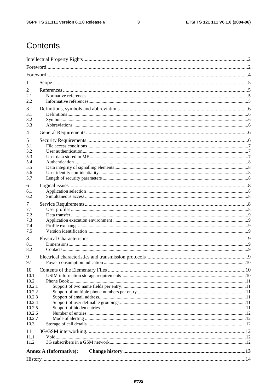$\mathbf{3}$ 

# Contents

| 1                |                               |  |
|------------------|-------------------------------|--|
| 2                |                               |  |
| 2.1              |                               |  |
| 2.2              |                               |  |
| 3                |                               |  |
| 3.1              |                               |  |
| 3.2              |                               |  |
| 3.3              |                               |  |
| 4                |                               |  |
| 5                |                               |  |
| 5.1              |                               |  |
| 5.2<br>5.3       |                               |  |
| 5.4              |                               |  |
| 5.5              |                               |  |
| 5.6              |                               |  |
| 5.7              |                               |  |
| 6                |                               |  |
| 6.1              |                               |  |
| 6.2              |                               |  |
| 7                |                               |  |
| 7.1              |                               |  |
| 7.2<br>7.3       |                               |  |
| 7.4              |                               |  |
| 7.5              |                               |  |
| 8                |                               |  |
| 8.1              |                               |  |
| 8.2              |                               |  |
| 9                |                               |  |
| 9.1              |                               |  |
| 10               |                               |  |
| 10.1             |                               |  |
| 10.2             |                               |  |
| 10.2.1<br>10.2.2 |                               |  |
| 10.2.3           |                               |  |
| 10.2.4           |                               |  |
| 10.2.5           |                               |  |
| 10.2.6           |                               |  |
| 10.2.7           |                               |  |
| 10.3             |                               |  |
| 11               |                               |  |
| 11.1<br>11.2     |                               |  |
|                  |                               |  |
|                  | <b>Annex A (Informative):</b> |  |
|                  |                               |  |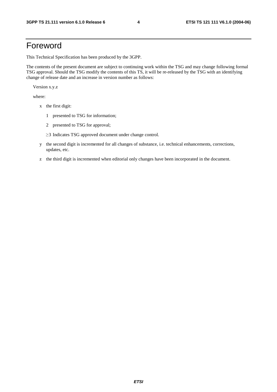### Foreword

This Technical Specification has been produced by the 3GPP.

The contents of the present document are subject to continuing work within the TSG and may change following formal TSG approval. Should the TSG modify the contents of this TS, it will be re-released by the TSG with an identifying change of release date and an increase in version number as follows:

Version x.y.z

where:

- x the first digit:
	- 1 presented to TSG for information;
	- 2 presented to TSG for approval;
	- $\geq$ 3 Indicates TSG approved document under change control.
- y the second digit is incremented for all changes of substance, i.e. technical enhancements, corrections, updates, etc.
- z the third digit is incremented when editorial only changes have been incorporated in the document.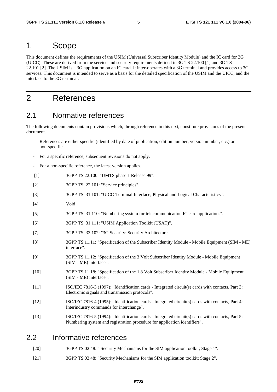### 1 Scope

This document defines the requirements of the USIM (Universal Subscriber Identity Module) and the IC card for 3G (UICC). These are derived from the service and security requirements defined in 3G TS 22.100 [1] and 3G TS 22.101 [2]. The USIM is a 3G application on an IC card. It inter-operates with a 3G terminal and provides access to 3G services. This document is intended to serve as a basis for the detailed specification of the USIM and the UICC, and the interface to the 3G terminal.

### 2 References

#### 2.1 Normative references

The following documents contain provisions which, through reference in this text, constitute provisions of the present document.

- References are either specific (identified by date of publication, edition number, version number, etc.) or non-specific.
- For a specific reference, subsequent revisions do not apply.
- For a non-specific reference, the latest version applies.
- [1] 3GPP TS 22.100: "UMTS phase 1 Release 99".
- [2] 3GPP TS 22.101: "Service principles".
- [3] 3GPP TS 31.101: "UICC-Terminal Interface; Physical and Logical Characteristics".
- [4] Void
- [5] 3GPP TS 31.110: "Numbering system for telecommunication IC card applications".
- [6] 3GPP TS 31.111: "USIM Application Toolkit (USAT)".
- [7] 3GPP TS 33.102: "3G Security: Security Architecture".
- [8] 3GPP TS 11.11: "Specification of the Subscriber Identity Module Mobile Equipment (SIM ME) interface".
- [9] 3GPP TS 11.12: "Specification of the 3 Volt Subscriber Identity Module Mobile Equipment (SIM - ME) interface".
- [10] 3GPP TS 11.18: "Specification of the 1.8 Volt Subscriber Identity Module Mobile Equipment (SIM - ME) interface".
- [11] ISO/IEC 7816-3 (1997): "Identification cards Integrated circuit(s) cards with contacts, Part 3: Electronic signals and transmission protocols".
- [12] ISO/IEC 7816-4 (1995): "Identification cards Integrated circuit(s) cards with contacts, Part 4: Interindustry commands for interchange".
- [13] ISO/IEC 7816-5 (1994): "Identification cards Integrated circuit(s) cards with contacts, Part 5: Numbering system and registration procedure for application identifiers".

#### 2.2 Informative references

- [20] 3GPP TS 02.48: " Security Mechanisms for the SIM application toolkit; Stage 1".
- [21] 3GPP TS 03.48: "Security Mechanisms for the SIM application toolkit; Stage 2".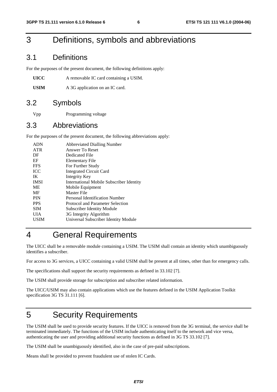### 3 Definitions, symbols and abbreviations

#### 3.1 Definitions

For the purposes of the present document, the following definitions apply:

| UICC | A removable IC card containing a USIM. |
|------|----------------------------------------|
|------|----------------------------------------|

USIM A 3G application on an IC card.

#### 3.2 Symbols

Vpp Programming voltage

#### 3.3 Abbreviations

For the purposes of the present document, the following abbreviations apply:

| <b>ADN</b>  | <b>Abbreviated Dialling Number</b>              |
|-------------|-------------------------------------------------|
| <b>ATR</b>  | Answer To Reset                                 |
| DF          | Dedicated File                                  |
| EF          | Elementary File                                 |
| <b>FFS</b>  | For Further Study                               |
| <b>ICC</b>  | <b>Integrated Circuit Card</b>                  |
| IK          | Integrity Key                                   |
| <b>IMSI</b> | <b>International Mobile Subscriber Identity</b> |
| ME          | Mobile Equipment                                |
| MF          | Master File                                     |
| <b>PIN</b>  | Personal Identification Number                  |
| <b>PPS</b>  | Protocol and Parameter Selection                |
| <b>SIM</b>  | <b>Subscriber Identity Module</b>               |
| UІА         | 3G Integrity Algorithm                          |
| USIM        | Universal Subscriber Identity Module            |
|             |                                                 |

# 4 General Requirements

The UICC shall be a removable module containing a USIM. The USIM shall contain an identity which unambiguously identifies a subscriber.

For access to 3G services, a UICC containing a valid USIM shall be present at all times, other than for emergency calls.

The specifications shall support the security requirements as defined in 33.102 [7].

The USIM shall provide storage for subscription and subscriber related information.

The UICC/USIM may also contain applications which use the features defined in the USIM Application Toolkit specification 3G TS 31.111 [6].

# 5 Security Requirements

The USIM shall be used to provide security features. If the UICC is removed from the 3G terminal, the service shall be terminated immediately. The functions of the USIM include authenticating itself to the network and vice versa, authenticating the user and providing additional security functions as defined in 3G TS 33.102 [7].

The USIM shall be unambiguously identified, also in the case of pre-paid subscriptions.

Means shall be provided to prevent fraudulent use of stolen IC Cards.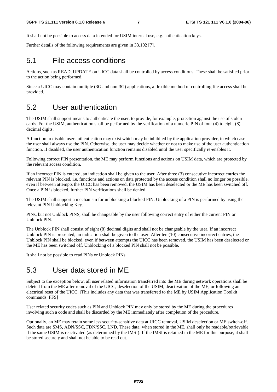It shall not be possible to access data intended for USIM internal use, e.g. authentication keys.

Further details of the following requirements are given in 33.102 [7].

#### 5.1 File access conditions

Actions, such as READ, UPDATE on UICC data shall be controlled by access conditions. These shall be satisfied prior to the action being performed.

Since a UICC may contain multiple (3G and non-3G) applications, a flexible method of controlling file access shall be provided.

#### 5.2 User authentication

The USIM shall support means to authenticate the user, to provide, for example, protection against the use of stolen cards. For the USIM, authentication shall be performed by the verification of a numeric PIN of four (4) to eight (8) decimal digits.

A function to disable user authentication may exist which may be inhibited by the application provider, in which case the user shall always use the PIN. Otherwise, the user may decide whether or not to make use of the user authentication function. If disabled, the user authentication function remains disabled until the user specifically re-enables it.

Following correct PIN presentation, the ME may perform functions and actions on USIM data, which are protected by the relevant access condition.

If an incorrect PIN is entered, an indication shall be given to the user. After three (3) consecutive incorrect entries the relevant PIN is blocked, i.e. functions and actions on data protected by the access condition shall no longer be possible, even if between attempts the UICC has been removed, the USIM has been deselected or the ME has been switched off. Once a PIN is blocked, further PIN verifications shall be denied.

The USIM shall support a mechanism for unblocking a blocked PIN. Unblocking of a PIN is performed by using the relevant PIN Unblocking Key.

PINs, but not Unblock PINS, shall be changeable by the user following correct entry of either the current PIN or Unblock PIN.

The Unblock PIN shall consist of eight (8) decimal digits and shall not be changeable by the user. If an incorrect Unblock PIN is presented, an indication shall be given to the user. After ten (10) consecutive incorrect entries, the Unblock PIN shall be blocked, even if between attempts the UICC has been removed, the USIM has been deselected or the ME has been switched off. Unblocking of a blocked PIN shall not be possible.

It shall not be possible to read PINs or Unblock PINs.

#### 5.3 User data stored in ME

Subject to the exception below, all user related information transferred into the ME during network operations shall be deleted from the ME after removal of the UICC, deselection of the USIM, deactivation of the ME, or following an electrical reset of the UICC. [This includes any data that was transferred to the ME by USIM Application Toolkit commands. FFS]

User related security codes such as PIN and Unblock PIN may only be stored by the ME during the procedures involving such a code and shall be discarded by the ME immediately after completion of the procedure.

Optionally, an ME may retain some less security-sensitive data at UICC removal, USIM deselection or ME switch-off. Such data are SMS, ADN/SSC, FDN/SSC, LND. These data, when stored in the ME, shall only be readable/retrievable if the same USIM is reactivated (as determined by the IMSI). If the IMSI is retained in the ME for this purpose, it shall be stored securely and shall not be able to be read out.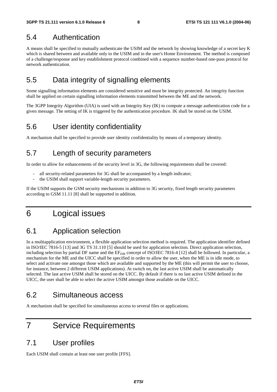### 5.4 Authentication

A means shall be specified to mutually authenticate the USIM and the network by showing knowledge of a secret key K which is shared between and available only to the USIM and in the user's Home Environment. The method is composed of a challenge/response and key establishment protocol combined with a sequence number-based one-pass protocol for network authentication.

### 5.5 Data integrity of signalling elements

Some signalling information elements are considered sensitive and must be integrity protected. An integrity function shall be applied on certain signalling information elements transmitted between the ME and the network.

The 3GPP Integrity Algorithm (UIA) is used with an Integrity Key (IK) to compute a message authentication code for a given message. The setting of IK is triggered by the authentication procedure. IK shall be stored on the USIM.

#### 5.6 User identity confidentiality

A mechanism shall be specified to provide user identity confidentiality by means of a temporary identity.

### 5.7 Length of security parameters

In order to allow for enhancements of the security level in 3G, the following requirements shall be covered:

- all security-related parameters for 3G shall be accompanied by a length indicator;
- the USIM shall support variable-length security parameters.

If the USIM supports the GSM security mechanisms in addition to 3G security, fixed length security parameters according to GSM 11.11 [8] shall be supported in addition.

### 6 Logical issues

### 6.1 Application selection

In a multiapplication environment, a flexible application selection method is required. The application identifier defined in ISO/IEC 7816-5 [13] and 3G TS 31.110 [5] should be used for application selection. Direct application selection, including selection by partial DF name and the  $EF_{\text{DIR}}$  concept of ISO/IEC 7816-4 [12] shall be followed. In particular, a mechanism for the ME and the UICC shall be specified in order to allow the user, when the ME is in idle mode, to select and activate one amongst those which are available and supported by the ME (this will permit the user to choose, for instance, between 2 different USIM applications). At switch on, the last active USIM shall be automatically selected. The last active USIM shall be stored on the UICC. By default if there is no last active USIM defined in the UICC, the user shall be able to select the active USIM amongst those available on the UICC.

#### 6.2 Simultaneous access

A mechanism shall be specified for simultaneous access to several files or applications.

### 7 Service Requirements

#### 7.1 User profiles

Each USIM shall contain at least one user profile [FFS].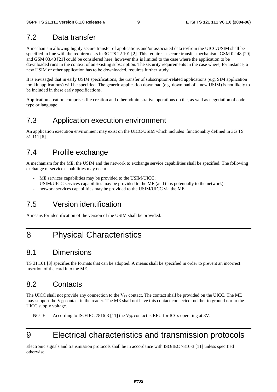#### 7.2 Data transfer

A mechanism allowing highly secure transfer of applications and/or associated data to/from the UICC/USIM shall be specified in line with the requirements in 3G TS 22.101 [2]. This requires a secure transfer mechanism. GSM 02.48 [20] and GSM 03.48 [21] could be considered here, however this is limited to the case where the application to be downloaded runs in the context of an existing subscription. The security requirements in the case where, for instance, a new USIM or other application has to be downloaded, requires further study.

It is envisaged that in early USIM specifications, the transfer of subscription-related applications (e.g. SIM application toolkit applications) will be specified. The generic application download (e.g. download of a new USIM) is not likely to be included in these early specifications.

Application creation comprises file creation and other administrative operations on the, as well as negotiation of code type or language.

#### 7.3 Application execution environment

An application execution environment may exist on the UICC/USIM which includes functionality defined in 3G TS 31.111 [6].

#### 7.4 Profile exchange

A mechanism for the ME, the USIM and the network to exchange service capabilities shall be specified. The following exchange of service capabilities may occur:

- ME services capabilities may be provided to the USIM/UICC;
- USIM/UICC services capabilities may be provided to the ME (and thus potentially to the network);
- network services capabilities may be provided to the USIM/UICC via the ME.

### 7.5 Version identification

A means for identification of the version of the USIM shall be provided.

### 8 Physical Characteristics

#### 8.1 Dimensions

TS 31.101 [3] specifies the formats that can be adopted. A means shall be specified in order to prevent an incorrect insertion of the card into the ME.

### 8.2 Contacts

The UICC shall not provide any connection to the  $V_{PP}$  contact. The contact shall be provided on the UICC. The ME may support the V<sub>PP</sub> contact in the reader. The ME shall not have this contact connected; neither to ground nor to the UICC supply voltage.

NOTE: According to ISO/IEC 7816-3 [11] the  $V_{PP}$  contact is RFU for ICCs operating at 3V.

# 9 Electrical characteristics and transmission protocols

Electronic signals and transmission protocols shall be in accordance with ISO/IEC 7816-3 [11] unless specified otherwise.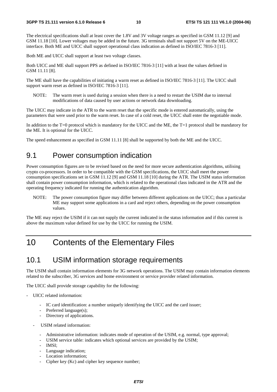The electrical specifications shall at least cover the 1.8V and 3V voltage ranges as specified in GSM 11.12 [9] and GSM 11.18 [10]. Lower voltages may be added in the future. 3G terminals shall not support 5V on the ME-UICC interface. Both ME and UICC shall support operational class indication as defined in ISO/IEC 7816-3 [11].

Both ME and UICC shall support at least two voltage classes.

Both UICC and ME shall support PPS as defined in ISO/IEC 7816-3 [11] with at least the values defined in GSM 11.11 [8].

The ME shall have the capabilities of initiating a warm reset as defined in ISO/IEC 7816-3 [11]. The UICC shall support warm reset as defined in ISO/IEC 7816-3 [11].

NOTE: The warm reset is used during a session when there is a need to restart the USIM due to internal modifications of data caused by user actions or network data downloading.

The UICC may indicate in the ATR to the warm reset that the specific mode is entered automatically, using the parameters that were used prior to the warm reset. In case of a cold reset, the UICC shall enter the negotiable mode.

In addition to the  $T=0$  protocol which is mandatory for the UICC and the ME, the  $T=1$  protocol shall be mandatory for the ME. It is optional for the UICC.

The speed enhancement as specified in GSM 11.11 [8] shall be supported by both the ME and the UICC.

#### 9.1 Power consumption indication

Power consumption figures are to be revised based on the need for more secure authentication algorithms, utilising crypto co-processors. In order to be compatible with the GSM specifications, the UICC shall meet the power consumption specifications set in GSM 11.12 [9] and GSM 11.18 [10] during the ATR. The USIM status information shall contain power consumption information, which is related to the operational class indicated in the ATR and the operating frequency indicated for running the authentication algorithm.

NOTE: The power consumption figure may differ between different applications on the UICC; thus a particular ME may support some applications in a card and reject others, depending on the power consumption values.

The ME may reject the USIM if it can not supply the current indicated in the status information and if this current is above the maximum value defined for use by the UICC for running the USIM.

### 10 Contents of the Elementary Files

#### 10.1 USIM information storage requirements

The USIM shall contain information elements for 3G network operations. The USIM may contain information elements related to the subscriber, 3G services and home environment or service provider related information.

The UICC shall provide storage capability for the following:

- UICC related information:
	- IC card identification: a number uniquely identifying the UICC and the card issuer;
	- Preferred language(s);
	- Directory of applications.
	- USIM related information:
		- Administrative information: indicates mode of operation of the USIM, e.g. normal, type approval;
		- USIM service table: indicates which optional services are provided by the USIM;
		- IMSI;
		- Language indication;
		- Location information;
		- Cipher key (Kc) and cipher key sequence number;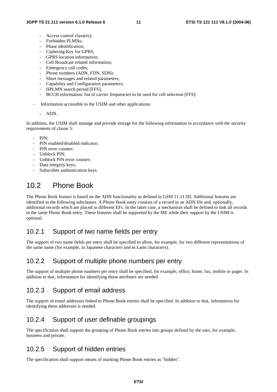- Access control class(es):
- Forbidden PLMNs:
- Phase identification;
- Ciphering Key for GPRS;
- GPRS location information;
- Cell Broadcast related information;
- Emergency call codes;
- Phone numbers (ADN, FDN, SDN);
- Short messages and related parameters;
- Capability and Configuration parameters;
- HPLMN search period [FFS];
- BCCH information: list of carrier frequencies to be used for cell selection [FFS].
- Information accessible to the USIM and other applications:

#### - ADN.

In addition, the USIM shall manage and provide storage for the following information in accordance with the security requirements of clause 5:

- $PIN$
- PIN enabled/disabled indicator;
- PIN error counter:
- Unblock PIN;
- Unblock PIN error counter:
- Data integrity keys;
- Subscriber authentication keys.

### 10.2 Phone Book

The Phone Book feature is based on the ADN functionality as defined in GSM 11.11 [8]. Additional features are identified in the following subclauses. A Phone Book entry consists of a record in an ADN file and, optionally, additional records which are placed in different EFs. In the latter case, a mechanism shall be defined to link all records in the same Phone Book entry. These features shall be supported by the ME while their support by the USIM is optional.

#### 10.2.1 Support of two name fields per entry

The support of two name fields per entry shall be specified to allow, for example, for two different representations of the same name (for example, in Japanese characters and in Latin characters).

#### 10.2.2 Support of multiple phone numbers per entry

The support of multiple phone numbers per entry shall be specified, for example, office, home, fax, mobile or pager. In addition to that, information for identifying those attributes are needed.

#### 10.2.3 Support of email address

The support of email addresses linked to Phone Book entries shall be specified. In addition to that, information for identifying these addresses is needed.

#### 10.2.4 Support of user definable groupings

The specification shall support the grouping of Phone Book entries into groups defined by the user, for example, business and private.

#### 10.2.5 Support of hidden entries

The specification shall support means of marking Phone Book entries as "hidden".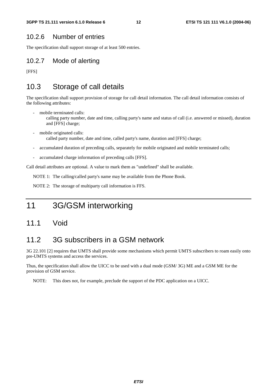#### 10.2.6 Number of entries

The specification shall support storage of at least 500 entries.

#### 10.2.7 Mode of alerting

[FFS]

#### 10.3 Storage of call details

The specification shall support provision of storage for call detail information. The call detail information consists of the following attributes:

- mobile terminated calls:
	- calling party number, date and time, calling party's name and status of call (i.e. answered or missed), duration and [FFS] charge;
- mobile originated calls: called party number, date and time, called party's name, duration and [FFS] charge;
- accumulated duration of preceding calls, separately for mobile originated and mobile terminated calls;
- accumulated charge information of preceding calls [FFS].

Call detail attributes are optional. A value to mark them as "undefined" shall be available.

NOTE 1: The calling/called party's name may be available from the Phone Book.

NOTE 2: The storage of multiparty call information is FFS.

### 11 3G/GSM interworking

#### 11.1 Void

#### 11.2 3G subscribers in a GSM network

3G 22.101 [2] requires that UMTS shall provide some mechanisms which permit UMTS subscribers to roam easily onto pre-UMTS systems and access the services.

Thus, the specification shall allow the UICC to be used with a dual mode (GSM/ 3G) ME and a GSM ME for the provision of GSM service.

NOTE: This does not, for example, preclude the support of the PDC application on a UICC.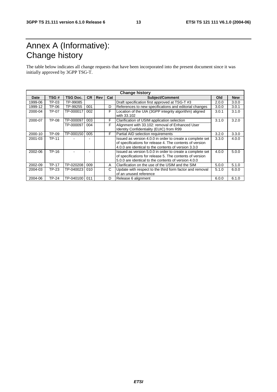# Annex A (Informative): Change history

The table below indicates all change requests that have been incorporated into the present document since it was initially approved by 3GPP TSG-T.

| <b>Change history</b> |              |           |           |     |     |                                                                                                                                                                               |       |            |
|-----------------------|--------------|-----------|-----------|-----|-----|-------------------------------------------------------------------------------------------------------------------------------------------------------------------------------|-------|------------|
| Date                  | TSG#         | TSG Doc.  | <b>CR</b> | Rev | Cat | Subject/Comment                                                                                                                                                               | Old   | <b>New</b> |
| 1999-06               | TP-03        | TP-99085  |           |     |     | Draft specification first approved at TSG-T #3                                                                                                                                | 2.0.0 | 3.0.0      |
| 1999-12               | TP-06        | TP-99255  | 001       |     | D   | References to new specifications and editorial changes                                                                                                                        | 3.0.0 | 3.0.1      |
| 2000-04               | TP-07        | TP-000017 | 002       |     | F   | Location of the UIA (3GPP integrity algorithm) aligned<br>with 33.102                                                                                                         | 3.0.1 | 3.1.0      |
| 2000-07               | TP-08        | TP-000097 | 003       |     | F   | Clarification of USIM application selection                                                                                                                                   | 3.1.0 | 3.2.0      |
|                       |              | TP-000097 | 004       |     | F   | Alignment with 33.102: removal of Enhanced User<br>Identity Confidentiality (EUIC) from R99                                                                                   |       |            |
| 2000-10               | TP-09        | TP-000150 | 005       |     | F   | Partial AID selection requirements                                                                                                                                            | 3.2.0 | 3.3.0      |
| 2001-03               | <b>TP-11</b> |           |           |     |     | Issued as version 4.0.0 in order to create a complete set<br>of specifications for release 4. The contents of version<br>4.0.0 are identical to the contents of version 3.3.0 | 3.3.0 | 4.0.0      |
| 2002-06               | TP-16        |           |           |     |     | Issued as version 5.0.0 in order to create a complete set<br>of specifications for release 5. The contents of version<br>5.0.0 are identical to the contents of version 4.0.0 | 4.0.0 | 5.0.0      |
| 2002-09               | <b>TP-17</b> | TP-020208 | 009       |     | A   | Clarification on the use of the USIM and the SIM                                                                                                                              | 5.0.0 | 5.1.0      |
| 2004-03               | TP-23        | TP-040023 | 010       |     | C   | Update with respect to the third form factor and removal<br>of an unused reference                                                                                            | 5.1.0 | 6.0.0      |
| 2004-06               | <b>TP-24</b> | TP-040100 | 011       |     | D   | Release 6 alignment                                                                                                                                                           | 6.0.0 | 6.1.0      |